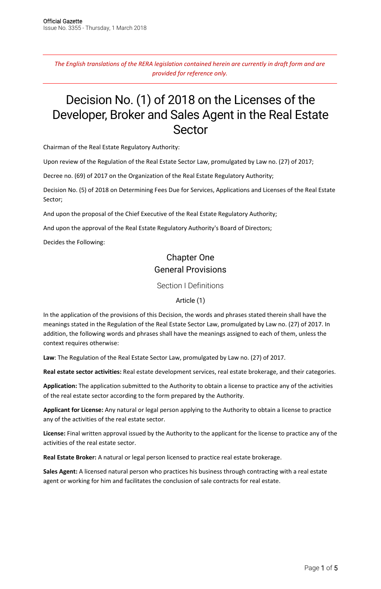*The English translations of the RERA legislation contained herein are currently in draft form and are provided for reference only.*

# Decision No. (1) of 2018 on the Licenses of the Developer, Broker and Sales Agent in the Real Estate Sector

Chairman of the Real Estate Regulatory Authority:

Upon review of the Regulation of the Real Estate Sector Law, promulgated by Law no. (27) of 2017;

Decree no. (69) of 2017 on the Organization of the Real Estate Regulatory Authority;

Decision No. (5) of 2018 on Determining Fees Due for Services, Applications and Licenses of the Real Estate Sector;

And upon the proposal of the Chief Executive of the Real Estate Regulatory Authority;

And upon the approval of the Real Estate Regulatory Authority's Board of Directors;

Decides the Following:

# Chapter One General Provisions

Section I Definitions

Article (1)

In the application of the provisions of this Decision, the words and phrases stated therein shall have the meanings stated in the Regulation of the Real Estate Sector Law, promulgated by Law no. (27) of 2017. In addition, the following words and phrases shall have the meanings assigned to each of them, unless the context requires otherwise:

**Law**: The Regulation of the Real Estate Sector Law, promulgated by Law no. (27) of 2017.

**Real estate sector activities:** Real estate development services, real estate brokerage, and their categories.

**Application:** The application submitted to the Authority to obtain a license to practice any of the activities of the real estate sector according to the form prepared by the Authority.

**Applicant for License:** Any natural or legal person applying to the Authority to obtain a license to practice any of the activities of the real estate sector.

**License:** Final written approval issued by the Authority to the applicant for the license to practice any of the activities of the real estate sector.

**Real Estate Broker:** A natural or legal person licensed to practice real estate brokerage.

**Sales Agent:** A licensed natural person who practices his business through contracting with a real estate agent or working for him and facilitates the conclusion of sale contracts for real estate.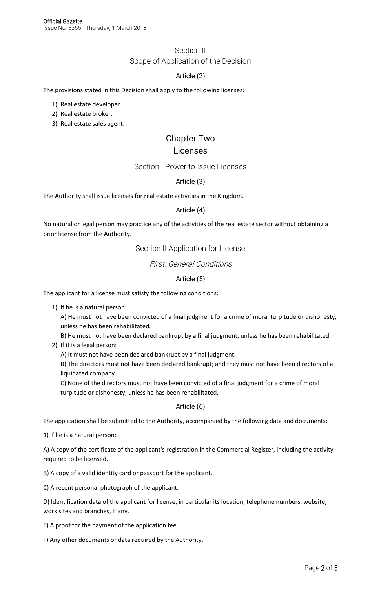# Section II Scope of Application of the Decision

#### Article (2)

The provisions stated in this Decision shall apply to the following licenses:

- 1) Real estate developer.
- 2) Real estate broker.
- 3) Real estate sales agent.

# Chapter Two

## Licenses

#### Section I Power to Issue Licenses

#### Article (3)

The Authority shall issue licenses for real estate activities in the Kingdom.

#### Article (4)

No natural or legal person may practice any of the activities of the real estate sector without obtaining a prior license from the Authority.

## Section II Application for License

## First: General Conditions

#### Article (5)

The applicant for a license must satisfy the following conditions:

1) If he is a natural person:

A) He must not have been convicted of a final judgment for a crime of moral turpitude or dishonesty, unless he has been rehabilitated.

- B) He must not have been declared bankrupt by a final judgment, unless he has been rehabilitated.
- 2) If it is a legal person:
	- A) It must not have been declared bankrupt by a final judgment.

B) The directors must not have been declared bankrupt; and they must not have been directors of a liquidated company.

C) None of the directors must not have been convicted of a final judgment for a crime of moral turpitude or dishonesty, unless he has been rehabilitated.

#### Article (6)

The application shall be submitted to the Authority, accompanied by the following data and documents:

1) If he is a natural person:

A) A copy of the certificate of the applicant's registration in the Commercial Register, including the activity required to be licensed.

B) A copy of a valid identity card or passport for the applicant.

C) A recent personal photograph of the applicant.

D) Identification data of the applicant for license, in particular its location, telephone numbers, website, work sites and branches, if any.

E) A proof for the payment of the application fee.

F) Any other documents or data required by the Authority.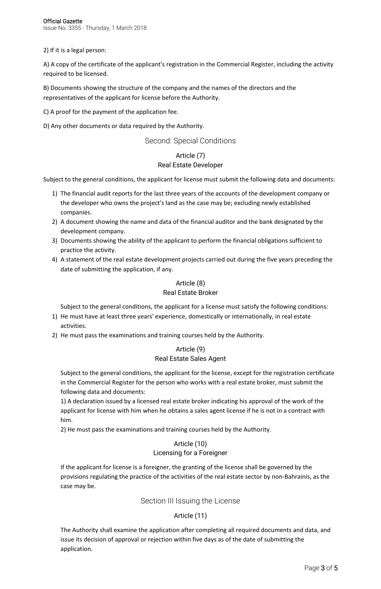Page 3 of 5

2) If it is a legal person:

A) A copy of the certificate of the applicant's registration in the Commercial Register, including the activity required to be licensed.

B) Documents showing the structure of the company and the names of the directors and the representatives of the applicant for license before the Authority.

C) A proof for the payment of the application fee.

D) Any other documents or data required by the Authority.

#### Second: Special Conditions

#### Article (7) Real Estate Developer

Subject to the general conditions, the applicant for license must submit the following data and documents:

- 1) The financial audit reports for the last three years of the accounts of the development company or the developer who owns the project's land as the case may be; excluding newly established companies.
- 2) A document showing the name and data of the financial auditor and the bank designated by the development company.
- 3) Documents showing the ability of the applicant to perform the financial obligations sufficient to practice the activity.
- 4) A statement of the real estate development projects carried out during the five years preceding the date of submitting the application, if any.

#### Article (8)

#### Real Estate Broker

Subject to the general conditions, the applicant for a license must satisfy the following conditions:

- 1) He must have at least three years' experience, domestically or internationally, in real estate activities.
- 2) He must pass the examinations and training courses held by the Authority.

#### Article (9) Real Estate Sales Agent

Subject to the general conditions, the applicant for the license, except for the registration certificate in the Commercial Register for the person who works with a real estate broker, must submit the following data and documents:

1) A declaration issued by a licensed real estate broker indicating his approval of the work of the applicant for license with him when he obtains a sales agent license if he is not in a contract with him.

2) He must pass the examinations and training courses held by the Authority.

#### Article (10) Licensing for a Foreigner

If the applicant for license is a foreigner, the granting of the license shall be governed by the provisions regulating the practice of the activities of the real estate sector by non-Bahrainis, as the case may be.

Section III Issuing the License

### Article (11)

The Authority shall examine the application after completing all required documents and data, and issue its decision of approval or rejection within five days as of the date of submitting the application.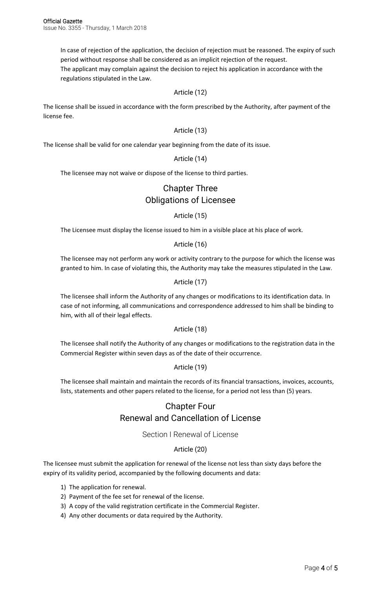In case of rejection of the application, the decision of rejection must be reasoned. The expiry of such period without response shall be considered as an implicit rejection of the request. The applicant may complain against the decision to reject his application in accordance with the

regulations stipulated in the Law.

#### Article (12)

The license shall be issued in accordance with the form prescribed by the Authority, after payment of the license fee.

#### Article (13)

The license shall be valid for one calendar year beginning from the date of its issue.

#### Article (14)

The licensee may not waive or dispose of the license to third parties.

# Chapter Three Obligations of Licensee

#### Article (15)

The Licensee must display the license issued to him in a visible place at his place of work.

Article (16)

The licensee may not perform any work or activity contrary to the purpose for which the license was granted to him. In case of violating this, the Authority may take the measures stipulated in the Law.

#### Article (17)

The licensee shall inform the Authority of any changes or modifications to its identification data. In case of not informing, all communications and correspondence addressed to him shall be binding to him, with all of their legal effects.

#### Article (18)

The licensee shall notify the Authority of any changes or modifications to the registration data in the Commercial Register within seven days as of the date of their occurrence.

#### Article (19)

The licensee shall maintain and maintain the records of its financial transactions, invoices, accounts, lists, statements and other papers related to the license, for a period not less than (5) years.

# Chapter Four Renewal and Cancellation of License

#### Section I Renewal of License

#### Article (20)

The licensee must submit the application for renewal of the license not less than sixty days before the expiry of its validity period, accompanied by the following documents and data:

- 1) The application for renewal.
- 2) Payment of the fee set for renewal of the license.
- 3) A copy of the valid registration certificate in the Commercial Register.
- 4) Any other documents or data required by the Authority.